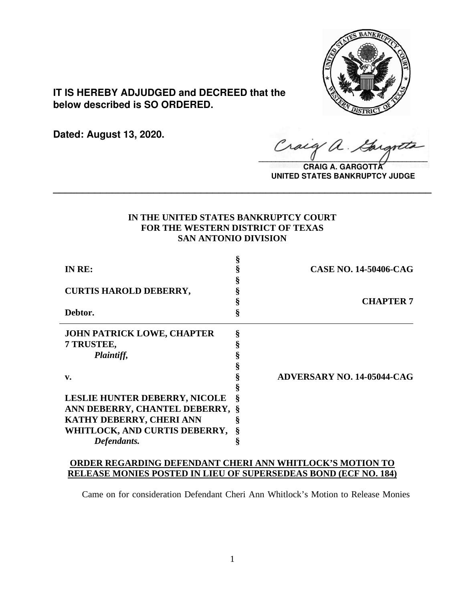

**IT IS HEREBY ADJUDGED and DECREED that the below described is SO ORDERED.**

**Dated: August 13, 2020.**

Craig a.  $\sqrt{2}$ 

**CRAIG A. GARGOTT UNITED STATES BANKRUPTCY JUDGE**

# **IN THE UNITED STATES BANKRUPTCY COURT FOR THE WESTERN DISTRICT OF TEXAS SAN ANTONIO DIVISION**

**\_\_\_\_\_\_\_\_\_\_\_\_\_\_\_\_\_\_\_\_\_\_\_\_\_\_\_\_\_\_\_\_\_\_\_\_\_\_\_\_\_\_\_\_\_\_\_\_\_\_\_\_\_\_\_\_\_\_\_\_\_\_\_\_**

| IN RE:                               |   | <b>CASE NO. 14-50406-CAG</b>      |
|--------------------------------------|---|-----------------------------------|
|                                      |   |                                   |
| <b>CURTIS HAROLD DEBERRY,</b>        |   |                                   |
|                                      |   | <b>CHAPTER 7</b>                  |
| Debtor.                              |   |                                   |
| <b>JOHN PATRICK LOWE, CHAPTER</b>    | ş |                                   |
| 7 TRUSTEE,                           |   |                                   |
| Plaintiff,                           |   |                                   |
|                                      |   |                                   |
| $\mathbf{v}$ .                       |   | <b>ADVERSARY NO. 14-05044-CAG</b> |
|                                      |   |                                   |
| <b>LESLIE HUNTER DEBERRY, NICOLE</b> | Š |                                   |
| ANN DEBERRY, CHANTEL DEBERRY, §      |   |                                   |
| KATHY DEBERRY, CHERI ANN             |   |                                   |
| WHITLOCK, AND CURTIS DEBERRY,        |   |                                   |
| Defendants.                          |   |                                   |

## **ORDER REGARDING DEFENDANT CHERI ANN WHITLOCK'S MOTION TO RELEASE MONIES POSTED IN LIEU OF SUPERSEDEAS BOND (ECF NO. 184)**

Came on for consideration Defendant Cheri Ann Whitlock's Motion to Release Monies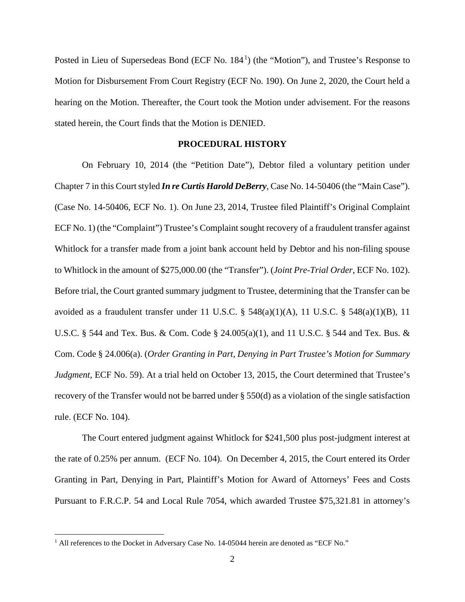Posted in Lieu of Supersedeas Bond (ECF No. 184<sup>1</sup>) (the "Motion"), and Trustee's Response to Motion for Disbursement From Court Registry (ECF No. 190). On June 2, 2020, the Court held a hearing on the Motion. Thereafter, the Court took the Motion under advisement. For the reasons stated herein, the Court finds that the Motion is DENIED.

### **PROCEDURAL HISTORY**

On February 10, 2014 (the "Petition Date"), Debtor filed a voluntary petition under Chapter 7 in this Court styled *In re Curtis Harold DeBerry*, Case No. 14-50406 (the "Main Case"). (Case No. 14-50406, ECF No. 1). On June 23, 2014, Trustee filed Plaintiff's Original Complaint ECF No. 1) (the "Complaint") Trustee's Complaint sought recovery of a fraudulent transfer against Whitlock for a transfer made from a joint bank account held by Debtor and his non-filing spouse to Whitlock in the amount of \$275,000.00 (the "Transfer"). (*Joint Pre-Trial Order*, ECF No. 102). Before trial, the Court granted summary judgment to Trustee, determining that the Transfer can be avoided as a fraudulent transfer under 11 U.S.C.  $\S$  548(a)(1)(A), 11 U.S.C.  $\S$  548(a)(1)(B), 11 U.S.C. § 544 and Tex. Bus. & Com. Code § 24.005(a)(1), and 11 U.S.C. § 544 and Tex. Bus. & Com. Code § 24.006(a). (*Order Granting in Part, Denying in Part Trustee's Motion for Summary Judgment*, ECF No. 59). At a trial held on October 13, 2015, the Court determined that Trustee's recovery of the Transfer would not be barred under § 550(d) as a violation of the single satisfaction rule. (ECF No. 104).

The Court entered judgment against Whitlock for \$241,500 plus post-judgment interest at the rate of 0.25% per annum. (ECF No. 104). On December 4, 2015, the Court entered its Order Granting in Part, Denying in Part, Plaintiff's Motion for Award of Attorneys' Fees and Costs Pursuant to F.R.C.P. 54 and Local Rule 7054, which awarded Trustee \$75,321.81 in attorney's

<sup>&</sup>lt;sup>1</sup> All references to the Docket in Adversary Case No. 14-05044 herein are denoted as "ECF No."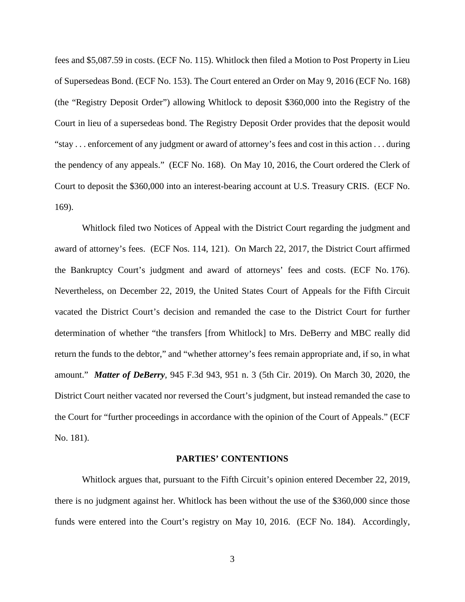fees and \$5,087.59 in costs. (ECF No. 115). Whitlock then filed a Motion to Post Property in Lieu of Supersedeas Bond. (ECF No. 153). The Court entered an Order on May 9, 2016 (ECF No. 168) (the "Registry Deposit Order") allowing Whitlock to deposit \$360,000 into the Registry of the Court in lieu of a supersedeas bond. The Registry Deposit Order provides that the deposit would "stay . . . enforcement of any judgment or award of attorney's fees and cost in this action . . . during the pendency of any appeals." (ECF No. 168). On May 10, 2016, the Court ordered the Clerk of Court to deposit the \$360,000 into an interest-bearing account at U.S. Treasury CRIS. (ECF No. 169).

Whitlock filed two Notices of Appeal with the District Court regarding the judgment and award of attorney's fees. (ECF Nos. 114, 121). On March 22, 2017, the District Court affirmed the Bankruptcy Court's judgment and award of attorneys' fees and costs. (ECF No. 176). Nevertheless, on December 22, 2019, the United States Court of Appeals for the Fifth Circuit vacated the District Court's decision and remanded the case to the District Court for further determination of whether "the transfers [from Whitlock] to Mrs. DeBerry and MBC really did return the funds to the debtor," and "whether attorney's fees remain appropriate and, if so, in what amount." *Matter of DeBerry*, 945 F.3d 943, 951 n. 3 (5th Cir. 2019). On March 30, 2020, the District Court neither vacated nor reversed the Court's judgment, but instead remanded the case to the Court for "further proceedings in accordance with the opinion of the Court of Appeals." (ECF No. 181).

#### **PARTIES' CONTENTIONS**

Whitlock argues that, pursuant to the Fifth Circuit's opinion entered December 22, 2019, there is no judgment against her. Whitlock has been without the use of the \$360,000 since those funds were entered into the Court's registry on May 10, 2016. (ECF No. 184). Accordingly,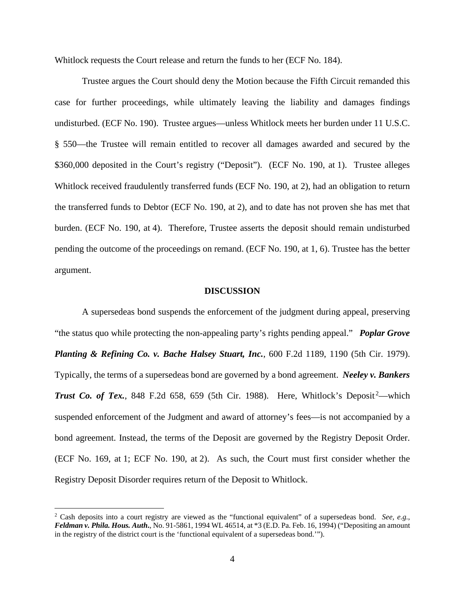Whitlock requests the Court release and return the funds to her (ECF No. 184).

Trustee argues the Court should deny the Motion because the Fifth Circuit remanded this case for further proceedings, while ultimately leaving the liability and damages findings undisturbed. (ECF No. 190). Trustee argues—unless Whitlock meets her burden under 11 U.S.C. § 550—the Trustee will remain entitled to recover all damages awarded and secured by the \$360,000 deposited in the Court's registry ("Deposit"). (ECF No. 190, at 1). Trustee alleges Whitlock received fraudulently transferred funds (ECF No. 190, at 2), had an obligation to return the transferred funds to Debtor (ECF No. 190, at 2), and to date has not proven she has met that burden. (ECF No. 190, at 4). Therefore, Trustee asserts the deposit should remain undisturbed pending the outcome of the proceedings on remand. (ECF No. 190, at 1, 6). Trustee has the better argument.

#### **DISCUSSION**

A supersedeas bond suspends the enforcement of the judgment during appeal, preserving "the status quo while protecting the non-appealing party's rights pending appeal." *Poplar Grove Planting & Refining Co. v. Bache Halsey Stuart, Inc.*, 600 F.2d 1189, 1190 (5th Cir. 1979). Typically, the terms of a supersedeas bond are governed by a bond agreement. *Neeley v. Bankers*  Trust Co. of Tex., 848 F.2d 658, 659 (5th Cir. 1988). Here, Whitlock's Deposit<sup>2</sup>—which suspended enforcement of the Judgment and award of attorney's fees—is not accompanied by a bond agreement. Instead, the terms of the Deposit are governed by the Registry Deposit Order. (ECF No. 169, at 1; ECF No. 190, at 2). As such, the Court must first consider whether the Registry Deposit Disorder requires return of the Deposit to Whitlock.

<sup>2</sup> Cash deposits into a court registry are viewed as the "functional equivalent" of a supersedeas bond. *See, e.g.*, *Feldman v. Phila. Hous. Auth***.**, No. 91-5861, 1994 WL 46514, at \*3 (E.D. Pa. Feb. 16, 1994) ("Depositing an amount in the registry of the district court is the 'functional equivalent of a supersedeas bond.'").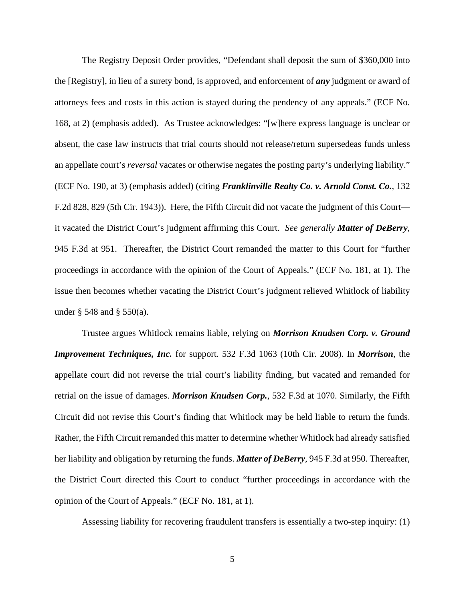The Registry Deposit Order provides, "Defendant shall deposit the sum of \$360,000 into the [Registry], in lieu of a surety bond, is approved, and enforcement of *any* judgment or award of attorneys fees and costs in this action is stayed during the pendency of any appeals." (ECF No. 168, at 2) (emphasis added). As Trustee acknowledges: "[w]here express language is unclear or absent, the case law instructs that trial courts should not release/return supersedeas funds unless an appellate court's *reversal* vacates or otherwise negates the posting party's underlying liability." (ECF No. 190, at 3) (emphasis added) (citing *Franklinville Realty Co. v. Arnold Const. Co.*, 132 F.2d 828, 829 (5th Cir. 1943)). Here, the Fifth Circuit did not vacate the judgment of this Court it vacated the District Court's judgment affirming this Court. *See generally Matter of DeBerry*, 945 F.3d at 951. Thereafter, the District Court remanded the matter to this Court for "further proceedings in accordance with the opinion of the Court of Appeals." (ECF No. 181, at 1). The issue then becomes whether vacating the District Court's judgment relieved Whitlock of liability under § 548 and § 550(a).

Trustee argues Whitlock remains liable, relying on *Morrison Knudsen Corp. v. Ground Improvement Techniques, Inc.* for support. 532 F.3d 1063 (10th Cir. 2008). In *Morrison*, the appellate court did not reverse the trial court's liability finding, but vacated and remanded for retrial on the issue of damages. *Morrison Knudsen Corp.*, 532 F.3d at 1070. Similarly, the Fifth Circuit did not revise this Court's finding that Whitlock may be held liable to return the funds. Rather, the Fifth Circuit remanded this matter to determine whether Whitlock had already satisfied her liability and obligation by returning the funds. *Matter of DeBerry*, 945 F.3d at 950. Thereafter, the District Court directed this Court to conduct "further proceedings in accordance with the opinion of the Court of Appeals." (ECF No. 181, at 1).

Assessing liability for recovering fraudulent transfers is essentially a two-step inquiry: (1)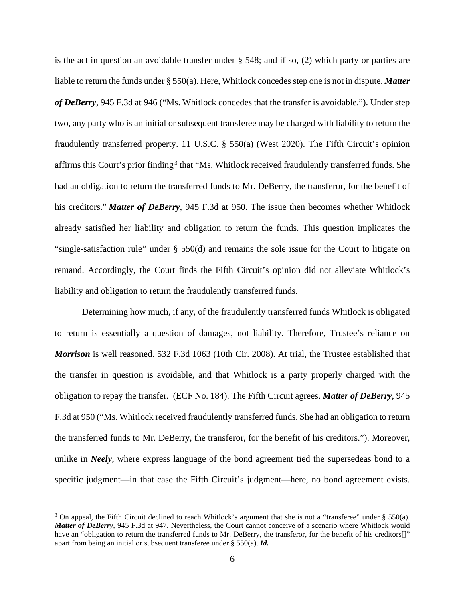is the act in question an avoidable transfer under § 548; and if so, (2) which party or parties are liable to return the funds under § 550(a). Here, Whitlock concedes step one is not in dispute. *Matter of DeBerry*, 945 F.3d at 946 ("Ms. Whitlock concedes that the transfer is avoidable."). Under step two, any party who is an initial or subsequent transferee may be charged with liability to return the fraudulently transferred property. 11 U.S.C. § 550(a) (West 2020). The Fifth Circuit's opinion affirms this Court's prior finding<sup>3</sup> that "Ms. Whitlock received fraudulently transferred funds. She had an obligation to return the transferred funds to Mr. DeBerry, the transferor, for the benefit of his creditors." *Matter of DeBerry*, 945 F.3d at 950. The issue then becomes whether Whitlock already satisfied her liability and obligation to return the funds. This question implicates the "single-satisfaction rule" under § 550(d) and remains the sole issue for the Court to litigate on remand. Accordingly, the Court finds the Fifth Circuit's opinion did not alleviate Whitlock's liability and obligation to return the fraudulently transferred funds.

Determining how much, if any, of the fraudulently transferred funds Whitlock is obligated to return is essentially a question of damages, not liability. Therefore, Trustee's reliance on *Morrison* is well reasoned. 532 F.3d 1063 (10th Cir. 2008). At trial, the Trustee established that the transfer in question is avoidable, and that Whitlock is a party properly charged with the obligation to repay the transfer. (ECF No. 184). The Fifth Circuit agrees. *Matter of DeBerry*, 945 F.3d at 950 ("Ms. Whitlock received fraudulently transferred funds. She had an obligation to return the transferred funds to Mr. DeBerry, the transferor, for the benefit of his creditors."). Moreover, unlike in *Neely*, where express language of the bond agreement tied the supersedeas bond to a specific judgment—in that case the Fifth Circuit's judgment—here, no bond agreement exists.

<sup>&</sup>lt;sup>3</sup> On appeal, the Fifth Circuit declined to reach Whitlock's argument that she is not a "transferee" under  $\S$  550(a). *Matter of DeBerry*, 945 F.3d at 947. Nevertheless, the Court cannot conceive of a scenario where Whitlock would have an "obligation to return the transferred funds to Mr. DeBerry, the transferor, for the benefit of his creditors[]" apart from being an initial or subsequent transferee under § 550(a). *Id.*